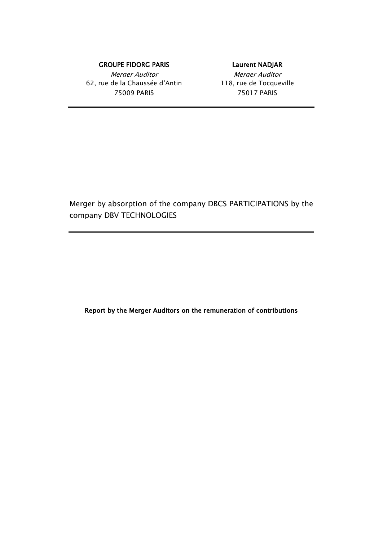### GROUPE FIDORG PARIS **EXECUTE:** Laurent NADJAR

Merger Auditor Nerger Auditor 62, rue de la Chaussée d'Antin 118, rue de Tocqueville 75009 PARIS 75017 PARIS

Merger by absorption of the company DBCS PARTICIPATIONS by the company DBV TECHNOLOGIES

Report by the Merger Auditors on the remuneration of contributions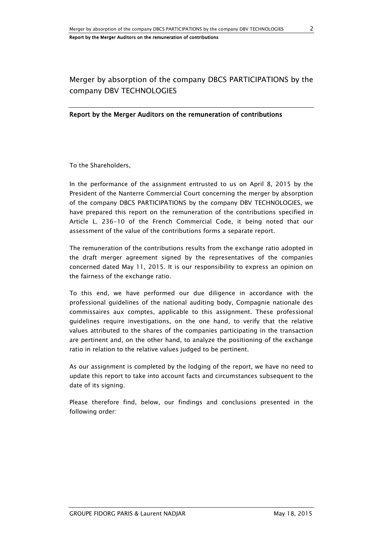# Merger by absorption of the company DBCS PARTICIPATIONS by the company DBV TECHNOLOGIES

#### Report by the Merger Auditors on the remuneration of contributions

To the Shareholders,

In the performance of the assignment entrusted to us on April 8, 2015 by the President of the Nanterre Commercial Court concerning the merger by absorption of the company DBCS PARTICIPATIONS by the company DBV TECHNOLOGIES, we have prepared this report on the remuneration of the contributions specified in Article L. 236-10 of the French Commercial Code, it being noted that our assessment of the value of the contributions forms a separate report.

The remuneration of the contributions results from the exchange ratio adopted in the draft merger agreement signed by the representatives of the companies concerned dated May 11, 2015. It is our responsibility to express an opinion on the fairness of the exchange ratio.

To this end, we have performed our due diligence in accordance with the professional guidelines of the national auditing body, Compagnie nationale des commissaires aux comptes, applicable to this assignment. These professional guidelines require investigations, on the one hand, to verify that the relative values attributed to the shares of the companies participating in the transaction are pertinent and, on the other hand, to analyze the positioning of the exchange ratio in relation to the relative values judged to be pertinent.

As our assignment is completed by the lodging of the report, we have no need to update this report to take into account facts and circumstances subsequent to the date of its signing.

Please therefore find, below, our findings and conclusions presented in the following order: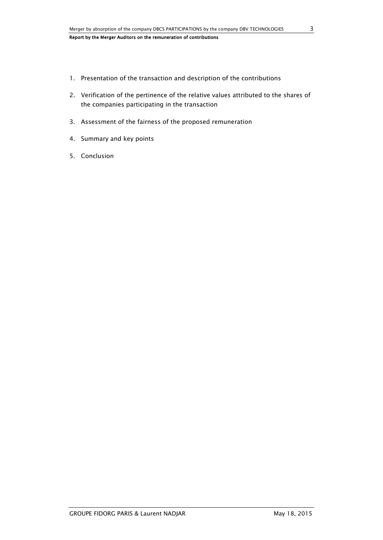- 1. Presentation of the transaction and description of the contributions
- 2. Verification of the pertinence of the relative values attributed to the shares of the companies participating in the transaction
- 3. Assessment of the fairness of the proposed remuneration
- 4. Summary and key points
- 5. Conclusion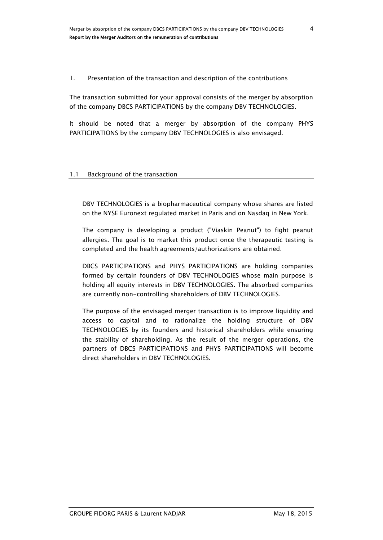### 1. Presentation of the transaction and description of the contributions

The transaction submitted for your approval consists of the merger by absorption of the company DBCS PARTICIPATIONS by the company DBV TECHNOLOGIES.

It should be noted that a merger by absorption of the company PHYS PARTICIPATIONS by the company DBV TECHNOLOGIES is also envisaged.

#### 1.1 Background of the transaction

DBV TECHNOLOGIES is a biopharmaceutical company whose shares are listed on the NYSE Euronext regulated market in Paris and on Nasdaq in New York.

The company is developing a product ("Viaskin Peanut") to fight peanut allergies. The goal is to market this product once the therapeutic testing is completed and the health agreements/authorizations are obtained.

DBCS PARTICIPATIONS and PHYS PARTICIPATIONS are holding companies formed by certain founders of DBV TECHNOLOGIES whose main purpose is holding all equity interests in DBV TECHNOLOGIES. The absorbed companies are currently non-controlling shareholders of DBV TECHNOLOGIES.

The purpose of the envisaged merger transaction is to improve liquidity and access to capital and to rationalize the holding structure of DBV TECHNOLOGIES by its founders and historical shareholders while ensuring the stability of shareholding. As the result of the merger operations, the partners of DBCS PARTICIPATIONS and PHYS PARTICIPATIONS will become direct shareholders in DBV TECHNOLOGIES.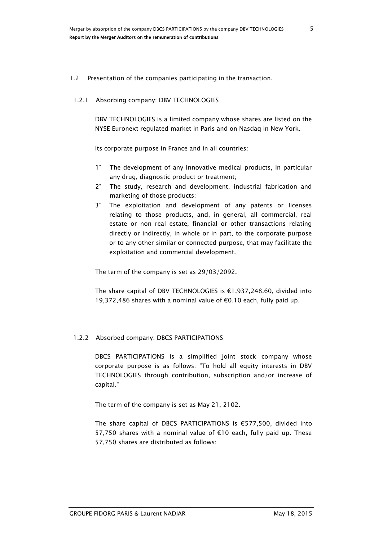#### 1.2 Presentation of the companies participating in the transaction.

#### 1.2.1 Absorbing company: DBV TECHNOLOGIES

DBV TECHNOLOGIES is a limited company whose shares are listed on the NYSE Euronext regulated market in Paris and on Nasdaq in New York.

Its corporate purpose in France and in all countries:

- 1° The development of any innovative medical products, in particular any drug, diagnostic product or treatment;
- 2° The study, research and development, industrial fabrication and marketing of those products;
- 3° The exploitation and development of any patents or licenses relating to those products, and, in general, all commercial, real estate or non real estate, financial or other transactions relating directly or indirectly, in whole or in part, to the corporate purpose or to any other similar or connected purpose, that may facilitate the exploitation and commercial development.

The term of the company is set as 29/03/2092.

The share capital of DBV TECHNOLOGIES is €1,937,248.60, divided into 19,372,486 shares with a nominal value of €0.10 each, fully paid up.

## 1.2.2 Absorbed company: DBCS PARTICIPATIONS

DBCS PARTICIPATIONS is a simplified joint stock company whose corporate purpose is as follows: "To hold all equity interests in DBV TECHNOLOGIES through contribution, subscription and/or increase of capital."

The term of the company is set as May 21, 2102.

The share capital of DBCS PARTICIPATIONS is €577,500, divided into 57,750 shares with a nominal value of €10 each, fully paid up. These 57,750 shares are distributed as follows: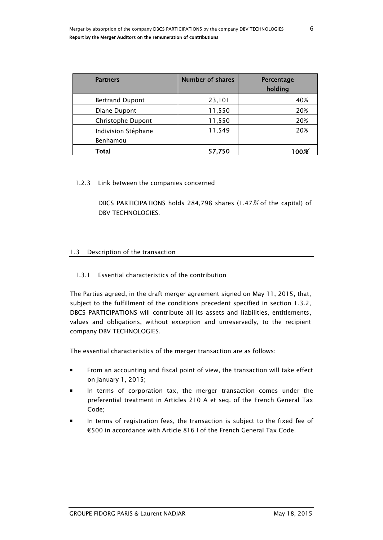| <b>Partners</b>                 | <b>Number of shares</b> | Percentage<br>holding |
|---------------------------------|-------------------------|-----------------------|
| <b>Bertrand Dupont</b>          | 23,101                  | 40%                   |
| Diane Dupont                    | 11,550                  | 20%                   |
| Christophe Dupont               | 11,550                  | 20%                   |
| Indivision Stéphane<br>Benhamou | 11,549                  | 20%                   |
| Total                           | 57,750                  | $100\%$               |

#### 1.2.3 Link between the companies concerned

DBCS PARTICIPATIONS holds 284,798 shares (1.47% of the capital) of DBV TECHNOLOGIES.

### 1.3 Description of the transaction

## 1.3.1 Essential characteristics of the contribution

The Parties agreed, in the draft merger agreement signed on May 11, 2015, that, subject to the fulfillment of the conditions precedent specified in section 1.3.2, DBCS PARTICIPATIONS will contribute all its assets and liabilities, entitlements, values and obligations, without exception and unreservedly, to the recipient company DBV TECHNOLOGIES.

The essential characteristics of the merger transaction are as follows:

- From an accounting and fiscal point of view, the transaction will take effect on January 1, 2015;
- In terms of corporation tax, the merger transaction comes under the preferential treatment in Articles 210 A et seq. of the French General Tax Code;
- In terms of registration fees, the transaction is subject to the fixed fee of €500 in accordance with Article 816 I of the French General Tax Code.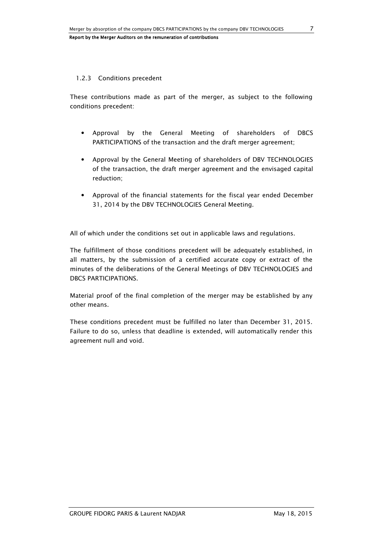### 1.2.3 Conditions precedent

These contributions made as part of the merger, as subject to the following conditions precedent:

- Approval by the General Meeting of shareholders of DBCS PARTICIPATIONS of the transaction and the draft merger agreement;
- Approval by the General Meeting of shareholders of DBV TECHNOLOGIES of the transaction, the draft merger agreement and the envisaged capital reduction;
- Approval of the financial statements for the fiscal year ended December 31, 2014 by the DBV TECHNOLOGIES General Meeting.

All of which under the conditions set out in applicable laws and regulations.

The fulfillment of those conditions precedent will be adequately established, in all matters, by the submission of a certified accurate copy or extract of the minutes of the deliberations of the General Meetings of DBV TECHNOLOGIES and DBCS PARTICIPATIONS.

Material proof of the final completion of the merger may be established by any other means.

These conditions precedent must be fulfilled no later than December 31, 2015. Failure to do so, unless that deadline is extended, will automatically render this agreement null and void.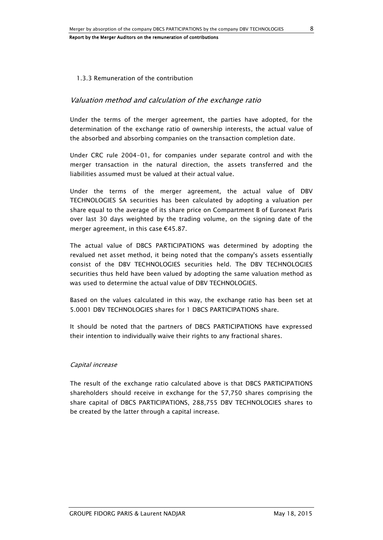#### 1.3.3 Remuneration of the contribution

## Valuation method and calculation of the exchange ratio

Under the terms of the merger agreement, the parties have adopted, for the determination of the exchange ratio of ownership interests, the actual value of the absorbed and absorbing companies on the transaction completion date.

Under CRC rule 2004-01, for companies under separate control and with the merger transaction in the natural direction, the assets transferred and the liabilities assumed must be valued at their actual value.

Under the terms of the merger agreement, the actual value of DBV TECHNOLOGIES SA securities has been calculated by adopting a valuation per share equal to the average of its share price on Compartment B of Euronext Paris over last 30 days weighted by the trading volume, on the signing date of the merger agreement, in this case €45.87.

The actual value of DBCS PARTICIPATIONS was determined by adopting the revalued net asset method, it being noted that the company's assets essentially consist of the DBV TECHNOLOGIES securities held. The DBV TECHNOLOGIES securities thus held have been valued by adopting the same valuation method as was used to determine the actual value of DBV TECHNOLOGIES.

Based on the values calculated in this way, the exchange ratio has been set at 5.0001 DBV TECHNOLOGIES shares for 1 DBCS PARTICIPATIONS share.

It should be noted that the partners of DBCS PARTICIPATIONS have expressed their intention to individually waive their rights to any fractional shares.

#### Capital increase

The result of the exchange ratio calculated above is that DBCS PARTICIPATIONS shareholders should receive in exchange for the 57,750 shares comprising the share capital of DBCS PARTICIPATIONS, 288,755 DBV TECHNOLOGIES shares to be created by the latter through a capital increase.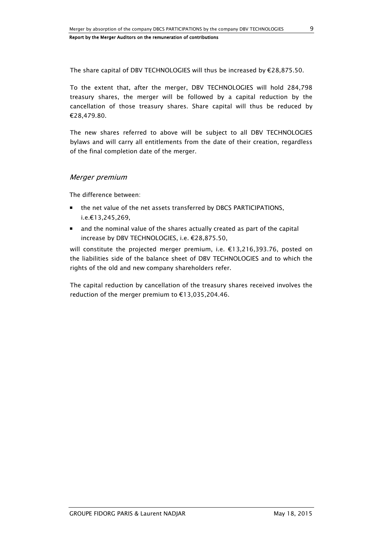The share capital of DBV TECHNOLOGIES will thus be increased by €28,875.50.

To the extent that, after the merger, DBV TECHNOLOGIES will hold 284,798 treasury shares, the merger will be followed by a capital reduction by the cancellation of those treasury shares. Share capital will thus be reduced by €28,479.80.

The new shares referred to above will be subject to all DBV TECHNOLOGIES bylaws and will carry all entitlements from the date of their creation, regardless of the final completion date of the merger.

## Merger premium

The difference between:

- the net value of the net assets transferred by DBCS PARTICIPATIONS, i.e.€13,245,269,
- and the nominal value of the shares actually created as part of the capital increase by DBV TECHNOLOGIES, i.e. €28,875.50,

will constitute the projected merger premium, i.e. €13,216,393.76, posted on the liabilities side of the balance sheet of DBV TECHNOLOGIES and to which the rights of the old and new company shareholders refer.

The capital reduction by cancellation of the treasury shares received involves the reduction of the merger premium to €13,035,204.46.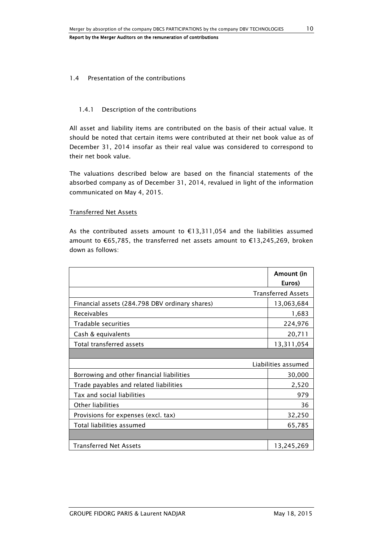#### 1.4 Presentation of the contributions

### 1.4.1 Description of the contributions

All asset and liability items are contributed on the basis of their actual value. It should be noted that certain items were contributed at their net book value as of December 31, 2014 insofar as their real value was considered to correspond to their net book value.

The valuations described below are based on the financial statements of the absorbed company as of December 31, 2014, revalued in light of the information communicated on May 4, 2015.

### Transferred Net Assets

As the contributed assets amount to €13,311,054 and the liabilities assumed amount to €65,785, the transferred net assets amount to €13,245,269, broken down as follows:

|                                                | Amount (in<br>Euros)      |
|------------------------------------------------|---------------------------|
|                                                | <b>Transferred Assets</b> |
| Financial assets (284.798 DBV ordinary shares) | 13,063,684                |
| <b>Receivables</b>                             | 1,683                     |
| Tradable securities                            | 224,976                   |
| Cash & equivalents                             | 20,711                    |
| Total transferred assets                       | 13,311,054                |
|                                                |                           |
|                                                | Liabilities assumed       |
| Borrowing and other financial liabilities      | 30,000                    |
| Trade payables and related liabilities         | 2,520                     |
| Tax and social liabilities                     | 979                       |
| Other liabilities                              | 36                        |
| Provisions for expenses (excl. tax)            | 32,250                    |
| Total liabilities assumed                      | 65,785                    |
|                                                |                           |
| <b>Transferred Net Assets</b>                  | 13,245,269                |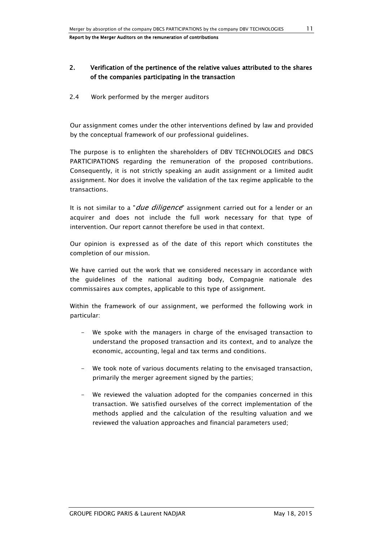## 2. Verification of the pertinence of the relative values attributed to the shares of the companies participating in the transaction

2.4 Work performed by the merger auditors

Our assignment comes under the other interventions defined by law and provided by the conceptual framework of our professional guidelines.

The purpose is to enlighten the shareholders of DBV TECHNOLOGIES and DBCS PARTICIPATIONS regarding the remuneration of the proposed contributions. Consequently, it is not strictly speaking an audit assignment or a limited audit assignment. Nor does it involve the validation of the tax regime applicable to the transactions.

It is not similar to a "*due diligence*" assignment carried out for a lender or an acquirer and does not include the full work necessary for that type of intervention. Our report cannot therefore be used in that context.

Our opinion is expressed as of the date of this report which constitutes the completion of our mission.

We have carried out the work that we considered necessary in accordance with the guidelines of the national auditing body, Compagnie nationale des commissaires aux comptes, applicable to this type of assignment.

Within the framework of our assignment, we performed the following work in particular:

- We spoke with the managers in charge of the envisaged transaction to understand the proposed transaction and its context, and to analyze the economic, accounting, legal and tax terms and conditions.
- We took note of various documents relating to the envisaged transaction, primarily the merger agreement signed by the parties;
- We reviewed the valuation adopted for the companies concerned in this transaction. We satisfied ourselves of the correct implementation of the methods applied and the calculation of the resulting valuation and we reviewed the valuation approaches and financial parameters used;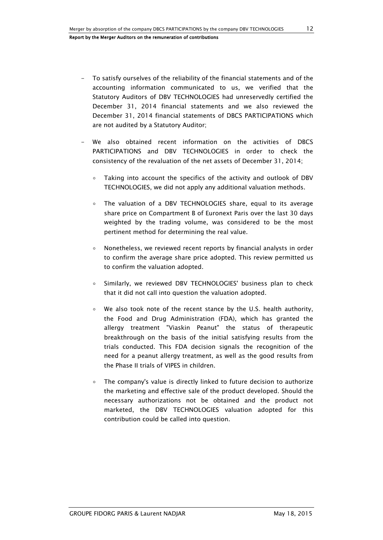- To satisfy ourselves of the reliability of the financial statements and of the accounting information communicated to us, we verified that the Statutory Auditors of DBV TECHNOLOGIES had unreservedly certified the December 31, 2014 financial statements and we also reviewed the December 31, 2014 financial statements of DBCS PARTICIPATIONS which are not audited by a Statutory Auditor;
- We also obtained recent information on the activities of DBCS PARTICIPATIONS and DBV TECHNOLOGIES in order to check the consistency of the revaluation of the net assets of December 31, 2014;
	- ∘ Taking into account the specifics of the activity and outlook of DBV TECHNOLOGIES, we did not apply any additional valuation methods.
	- ∘ The valuation of a DBV TECHNOLOGIES share, equal to its average share price on Compartment B of Euronext Paris over the last 30 days weighted by the trading volume, was considered to be the most pertinent method for determining the real value.
	- ∘ Nonetheless, we reviewed recent reports by financial analysts in order to confirm the average share price adopted. This review permitted us to confirm the valuation adopted.
	- ∘ Similarly, we reviewed DBV TECHNOLOGIES' business plan to check that it did not call into question the valuation adopted.
	- ∘ We also took note of the recent stance by the U.S. health authority, the Food and Drug Administration (FDA), which has granted the allergy treatment "Viaskin Peanut" the status of therapeutic breakthrough on the basis of the initial satisfying results from the trials conducted. This FDA decision signals the recognition of the need for a peanut allergy treatment, as well as the good results from the Phase II trials of VIPES in children.
	- ∘ The company's value is directly linked to future decision to authorize the marketing and effective sale of the product developed. Should the necessary authorizations not be obtained and the product not marketed, the DBV TECHNOLOGIES valuation adopted for this contribution could be called into question.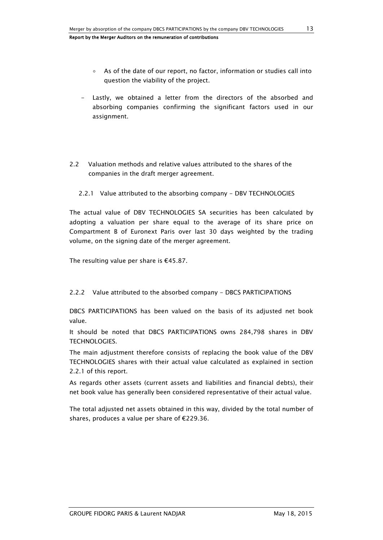- ∘ As of the date of our report, no factor, information or studies call into question the viability of the project.
- Lastly, we obtained a letter from the directors of the absorbed and absorbing companies confirming the significant factors used in our assignment.
- 2.2 Valuation methods and relative values attributed to the shares of the companies in the draft merger agreement.
	- 2.2.1 Value attributed to the absorbing company DBV TECHNOLOGIES

The actual value of DBV TECHNOLOGIES SA securities has been calculated by adopting a valuation per share equal to the average of its share price on Compartment B of Euronext Paris over last 30 days weighted by the trading volume, on the signing date of the merger agreement.

The resulting value per share is  $€45.87$ .

2.2.2 Value attributed to the absorbed company - DBCS PARTICIPATIONS

DBCS PARTICIPATIONS has been valued on the basis of its adjusted net book value.

It should be noted that DBCS PARTICIPATIONS owns 284,798 shares in DBV TECHNOLOGIES.

The main adjustment therefore consists of replacing the book value of the DBV TECHNOLOGIES shares with their actual value calculated as explained in section 2.2.1 of this report.

As regards other assets (current assets and liabilities and financial debts), their net book value has generally been considered representative of their actual value.

The total adjusted net assets obtained in this way, divided by the total number of shares, produces a value per share of €229.36.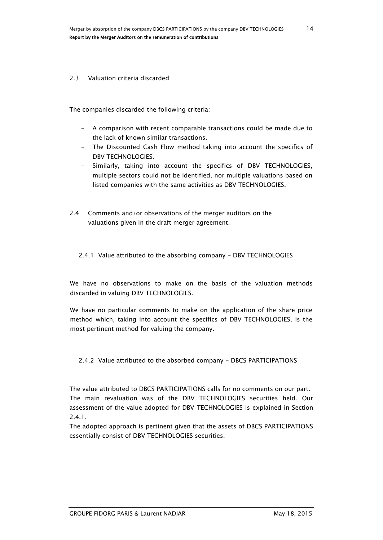#### 2.3 Valuation criteria discarded

The companies discarded the following criteria:

- A comparison with recent comparable transactions could be made due to the lack of known similar transactions.
- The Discounted Cash Flow method taking into account the specifics of DBV TECHNOLOGIES.
- Similarly, taking into account the specifics of DBV TECHNOLOGIES, multiple sectors could not be identified, nor multiple valuations based on listed companies with the same activities as DBV TECHNOLOGIES.
- 2.4 Comments and/or observations of the merger auditors on the valuations given in the draft merger agreement.

2.4.1 Value attributed to the absorbing company - DBV TECHNOLOGIES

We have no observations to make on the basis of the valuation methods discarded in valuing DBV TECHNOLOGIES.

We have no particular comments to make on the application of the share price method which, taking into account the specifics of DBV TECHNOLOGIES, is the most pertinent method for valuing the company.

2.4.2 Value attributed to the absorbed company - DBCS PARTICIPATIONS

The value attributed to DBCS PARTICIPATIONS calls for no comments on our part. The main revaluation was of the DBV TECHNOLOGIES securities held. Our assessment of the value adopted for DBV TECHNOLOGIES is explained in Section 2.4.1.

The adopted approach is pertinent given that the assets of DBCS PARTICIPATIONS essentially consist of DBV TECHNOLOGIES securities.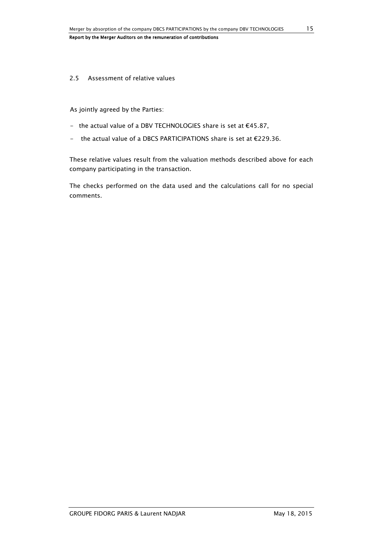#### 2.5 Assessment of relative values

As jointly agreed by the Parties:

- the actual value of a DBV TECHNOLOGIES share is set at €45.87,
- the actual value of a DBCS PARTICIPATIONS share is set at €229.36.

These relative values result from the valuation methods described above for each company participating in the transaction.

The checks performed on the data used and the calculations call for no special comments.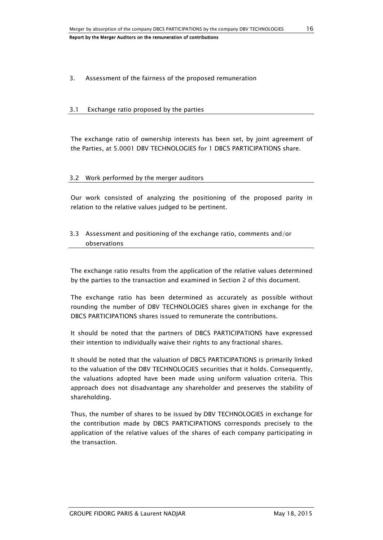### 3. Assessment of the fairness of the proposed remuneration

#### 3.1 Exchange ratio proposed by the parties

The exchange ratio of ownership interests has been set, by joint agreement of the Parties, at 5.0001 DBV TECHNOLOGIES for 1 DBCS PARTICIPATIONS share.

#### 3.2 Work performed by the merger auditors

Our work consisted of analyzing the positioning of the proposed parity in relation to the relative values judged to be pertinent.

## 3.3 Assessment and positioning of the exchange ratio, comments and/or observations

The exchange ratio results from the application of the relative values determined by the parties to the transaction and examined in Section 2 of this document.

The exchange ratio has been determined as accurately as possible without rounding the number of DBV TECHNOLOGIES shares given in exchange for the DBCS PARTICIPATIONS shares issued to remunerate the contributions.

It should be noted that the partners of DBCS PARTICIPATIONS have expressed their intention to individually waive their rights to any fractional shares.

It should be noted that the valuation of DBCS PARTICIPATIONS is primarily linked to the valuation of the DBV TECHNOLOGIES securities that it holds. Consequently, the valuations adopted have been made using uniform valuation criteria. This approach does not disadvantage any shareholder and preserves the stability of shareholding.

Thus, the number of shares to be issued by DBV TECHNOLOGIES in exchange for the contribution made by DBCS PARTICIPATIONS corresponds precisely to the application of the relative values of the shares of each company participating in the transaction.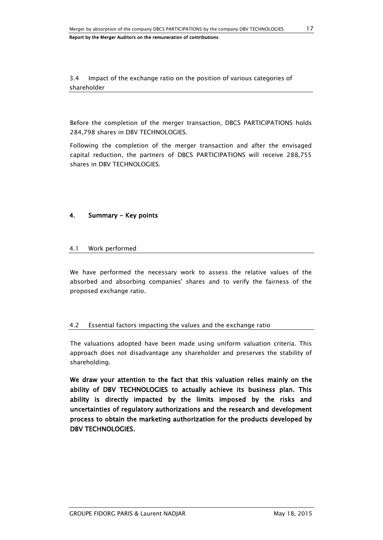3.4 Impact of the exchange ratio on the position of various categories of shareholder

Before the completion of the merger transaction, DBCS PARTICIPATIONS holds 284,798 shares in DBV TECHNOLOGIES.

Following the completion of the merger transaction and after the envisaged capital reduction, the partners of DBCS PARTICIPATIONS will receive 288,755 shares in DBV TECHNOLOGIES.

## 4. Summary - Key points

### 4.1 Work performed

We have performed the necessary work to assess the relative values of the absorbed and absorbing companies' shares and to verify the fairness of the proposed exchange ratio.

## 4.2 Essential factors impacting the values and the exchange ratio

The valuations adopted have been made using uniform valuation criteria. This approach does not disadvantage any shareholder and preserves the stability of shareholding.

We draw your attention to the fact that this valuation relies mainly on the ability of DBV TECHNOLOGIES to actually achieve its business plan. This ability is directly impacted by the limits imposed by the risks and uncertainties of regulatory authorizations and the research and development process to obtain the marketing authorization for the products developed by DBV TECHNOLOGIES.